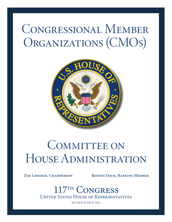# Congressional Member ORGANIZATIONS (CMOS)



# COMMITTEE ON House Administration

ZOE LOFGREN, CHAIRPERSON RODNEY DAVIS, RANKING MEMBER

United States House of Representatives <sup>TH</sup> CONGRESS

REVISED MARCH 2022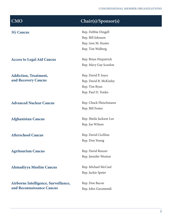| <b>CMO</b>                           | Chair(s)/Sponsor(s)     |
|--------------------------------------|-------------------------|
| <b>5G Caucus</b>                     | Rep. Debbie Dingell     |
|                                      | Rep. Bill Johnson       |
|                                      | Rep. Ann M. Kuster      |
|                                      | Rep. Tim Walberg        |
| <b>Access to Legal Aid Caucus</b>    | Rep. Brian Fitzpatrick  |
|                                      | Rep. Mary Gay Scanlon   |
| <b>Addiction, Treatment,</b>         | Rep. David P. Joyce     |
| and Recovery Caucus                  | Rep. David B. McKinley  |
|                                      | Rep. Tim Ryan           |
|                                      | Rep. Paul D. Tonko      |
| <b>Advanced Nuclear Caucus</b>       | Rep. Chuck Fleischmann  |
|                                      | Rep. Bill Foster        |
| <b>Afghanistan Caucus</b>            | Rep. Sheila Jackson Lee |
|                                      | Rep. Joe Wilson         |
| <b>Afterschool Caucus</b>            | Rep. David Cicilline    |
|                                      | Rep. Don Young          |
| <b>Agritourism Caucus</b>            | Rep. David Rouzer       |
|                                      | Rep. Jennifer Wexton    |
| <b>Ahmadiyya Muslim Caucus</b>       | Rep. Michael McCaul     |
|                                      | Rep. Jackie Speier      |
| Airborne Intelligence, Surveillance, | Rep. Don Bacon          |
| and Reconnaissance Caucus            | Rep. John Garamendi     |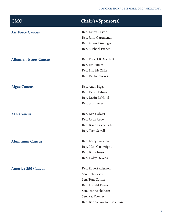| <b>Air Force Caucus</b>       | Rep. Kathy Castor          |
|-------------------------------|----------------------------|
|                               | Rep. John Garamendi        |
|                               | Rep. Adam Kinzinger        |
|                               | Rep. Michael Turner        |
|                               | Rep. Robert B. Aderholt    |
| <b>Albanian Issues Caucus</b> |                            |
|                               | Rep. Jim Himes             |
|                               | Rep. Lisa McClain          |
|                               | Rep. Ritchie Torres        |
| <b>Algae Caucus</b>           | Rep. Andy Biggs            |
|                               | Rep. Derek Kilmer          |
|                               | Rep. Darin LaHood          |
|                               | Rep. Scott Peters          |
| <b>ALS Caucus</b>             | Rep. Ken Calvert           |
|                               | Rep. Jason Crow            |
|                               | Rep. Brian Fitzpatrick     |
|                               | Rep. Terri Sewell          |
| <b>Aluminum Caucus</b>        | Rep. Larry Bucshon         |
|                               | Rep. Matt Cartwright       |
|                               | Rep. Bill Johnson          |
|                               | Rep. Haley Stevens         |
| <b>America 250 Caucus</b>     | Rep. Robert Aderholt       |
|                               | Sen. Bob Casey             |
|                               | Sen. Tom Cotton            |
|                               | Rep. Dwight Evans          |
|                               | Sen. Jeanne Shaheen        |
|                               | Sen. Pat Toomey            |
|                               | Rep. Bonnie Watson Coleman |
|                               |                            |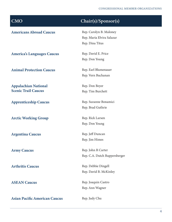## CMO Chair(s)/Sponsor(s) Americans Abroad Caucus Rep. Carolyn B. Maloney Rep. Maria Elvira Salazar Rep. Dina Titus America's Languages Caucus Rep. David E. Price Rep. Don Young Animal Protection Caucus Rep. Earl Blumenauer Rep. Vern Buchanan Appalachian National Scenic Trail Caucus Rep. Don Beyer Rep. Tim Burchett Apprenticeship Caucus Rep. Suzanne Bonamici Rep. Brad Guthrie Arctic Working Group Rep. Rick Larsen Rep. Don Young Argentina Caucus Rep. Jeff Duncan Rep. Jim Himes Army Caucus Rep. John R Carter Rep. C.A. Dutch Ruppersberger Arthritis Caucus Rep. Debbie Dingell Rep. David B. McKinley **ASEAN Caucus** Rep. Joaquin Castro Rep. Ann Wagner Asian Pacific American Caucus Rep. Judy Chu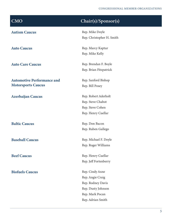| <b>CMO</b>                        | Chair(s)/Sponsor(s)       |
|-----------------------------------|---------------------------|
| <b>Autism Caucus</b>              | Rep. Mike Doyle           |
|                                   | Rep. Christopher H. Smith |
| <b>Auto Caucus</b>                | Rep. Marcy Kaptur         |
|                                   | Rep. Mike Kelly           |
| <b>Auto Care Caucus</b>           | Rep. Brendan F. Boyle     |
|                                   | Rep. Brian Fitzpatrick    |
| <b>Automotive Performance and</b> | Rep. Sanford Bishop       |
| <b>Motorsports Caucus</b>         | Rep. Bill Posey           |
| <b>Azerbaijan Caucus</b>          | Rep. Robert Aderholt      |
|                                   | Rep. Steve Chabot         |
|                                   | Rep. Steve Cohen          |
|                                   | Rep. Henry Cuellar        |
| <b>Baltic Caucus</b>              | Rep. Don Bacon            |
|                                   | Rep. Ruben Gallego        |
| <b>Baseball Caucus</b>            | Rep. Michael F. Doyle     |
|                                   | Rep. Roger Williams       |
| <b>Beef Caucus</b>                | Rep. Henry Cuellar        |
|                                   | Rep. Jeff Fortenberry     |
| <b>Biofuels Caucus</b>            | Rep. Cindy Axne           |
|                                   | Rep. Angie Craig          |
|                                   | Rep. Rodney Davis         |
|                                   | Rep. Dusty Johnson        |
|                                   | Rep. Mark Pocan           |
|                                   | Rep. Adrian Smith         |
|                                   |                           |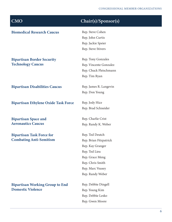| <b>Biomedical Research Caucus</b>           | Rep. Steve Cohen       |
|---------------------------------------------|------------------------|
|                                             | Rep. John Curtis       |
|                                             | Rep. Jackie Speier     |
|                                             | Rep. Steve Stivers     |
| <b>Bipartisan Border Security</b>           | Rep. Tony Gonzales     |
| <b>Technology Caucus</b>                    | Rep. Vincente Gonzalez |
|                                             | Rep. Chuck Fleischmann |
|                                             | Rep. Tim Ryan          |
| <b>Bipartisan Disabilities Caucus</b>       | Rep. James R. Langevin |
|                                             | Rep. Don Young         |
| <b>Bipartisan Ethylene Oxide Task Force</b> | Rep. Jody Hice         |
|                                             | Rep. Brad Schneider    |
| <b>Bipartisan Space and</b>                 | Rep. Charlie Crist     |
| <b>Aeronautics Caucus</b>                   | Rep. Randy K. Weber    |
| <b>Bipartisan Task Force for</b>            | Rep. Ted Deutch        |
| <b>Combating Anti-Semitism</b>              | Rep. Brian Fitzpatrick |
|                                             | Rep. Kay Granger       |
|                                             | Rep. Ted Lieu          |
|                                             | Rep. Grace Meng        |
|                                             | Rep. Chris Smith       |
|                                             | Rep. Marc Veasey       |
|                                             | Rep. Randy Weber       |
| <b>Bipartisan Working Group to End</b>      | Rep. Debbie Dingell    |
| <b>Domestic Violence</b>                    | Rep. Young Kim         |
|                                             | Rep. Debbie Lesko      |
|                                             | Rep. Gwen Moore        |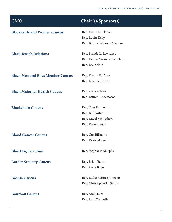| <b>CMO</b>                              | Chair(s)/Sponsor(s)           |
|-----------------------------------------|-------------------------------|
| <b>Black Girls and Women Caucus</b>     | Rep. Yvette D. Clarke         |
|                                         | Rep. Robin Kelly              |
|                                         | Rep. Bonnie Watson Coleman    |
| <b>Black-Jewish Relations</b>           | Rep. Brenda L. Lawrence       |
|                                         | Rep. Debbie Wasserman Schultz |
|                                         | Rep. Lee Zeldin               |
| <b>Black Men and Boys Member Caucus</b> | Rep. Danny K. Davis           |
|                                         | Rep. Eleanor Norton           |
| <b>Black Maternal Health Caucus</b>     | Rep. Alma Adams               |
|                                         | Rep. Lauren Underwood         |
| <b>Blockchain Caucus</b>                | Rep. Tom Emmer                |
|                                         | Rep. Bill Foster              |
|                                         | Rep. David Schweikert         |
|                                         | Rep. Darren Soto              |
| <b>Blood Cancer Caucus</b>              | Rep. Gus Bilirakis            |
|                                         | Rep. Doris Matsui             |
| <b>Blue Dog Coalition</b>               | Rep. Stephanie Murphy         |
| <b>Border Security Caucus</b>           | Rep. Brian Babin              |
|                                         | Rep. Andy Biggs               |
| <b>Bosnia Caucus</b>                    | Rep. Eddie Bernice Johnson    |
|                                         | Rep. Christopher H. Smith     |
| <b>Bourbon Caucus</b>                   | Rep. Andy Barr                |
|                                         | Rep. John Yarmuth             |
|                                         |                               |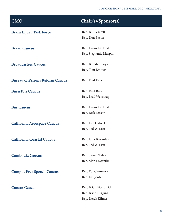| <b>CMO</b>                             | Chair(s)/Sponsor(s)    |
|----------------------------------------|------------------------|
| <b>Brain Injury Task Force</b>         | Rep. Bill Pascrell     |
|                                        | Rep. Don Bacon         |
| <b>Brazil Caucus</b>                   | Rep. Darin LaHood      |
|                                        | Rep. Stephanie Murphy  |
| <b>Broadcasters Caucus</b>             | Rep. Brendan Boyle     |
|                                        | Rep. Tom Emmer         |
| <b>Bureau of Prisons Reform Caucus</b> | Rep. Fred Keller       |
| <b>Burn Pits Caucus</b>                | Rep. Raul Ruiz         |
|                                        | Rep. Brad Wenstrup     |
| <b>Bus Caucus</b>                      | Rep. Darin LaHood      |
|                                        | Rep. Rick Larson       |
| <b>California Aerospace Caucus</b>     | Rep. Ken Calvert       |
|                                        | Rep. Ted W. Lieu       |
| <b>California Coastal Caucus</b>       | Rep. Julia Brownley    |
|                                        | Rep. Ted W. Lieu       |
| <b>Cambodia Caucus</b>                 | Rep. Steve Chabot      |
|                                        | Rep. Alan Lowenthal    |
| <b>Campus Free Speech Caucus</b>       | Rep. Kat Cammack       |
|                                        | Rep. Jim Jordan        |
| <b>Cancer Caucus</b>                   | Rep. Brian Fitzpatrick |
|                                        | Rep. Brian Higgins     |
|                                        | Rep. Derek Kilmer      |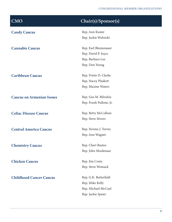| <b>CMO</b>                       | Chair(s)/Sponsor(s)     |
|----------------------------------|-------------------------|
| <b>Candy Caucus</b>              | Rep. Ann Kuster         |
|                                  | Rep. Jackie Walorski    |
| <b>Cannabis Caucus</b>           | Rep. Earl Blumenauer    |
|                                  | Rep. David P. Joyce     |
|                                  | Rep. Barbara Lee        |
|                                  | Rep. Don Young          |
| <b>Caribbean Caucus</b>          | Rep. Yvette D. Clarke   |
|                                  | Rep. Stacey Plaskett    |
|                                  | Rep. Maxine Waters      |
| <b>Caucus on Armenian Issues</b> | Rep. Gus M. Bilirakis   |
|                                  | Rep. Frank Pallone, Jr. |
| <b>Celiac Disease Caucus</b>     | Rep. Betty McCollum     |
|                                  | Rep. Steve Stivers      |
| <b>Central America Caucus</b>    | Rep. Norma J. Torres    |
|                                  | Rep. Ann Wagner         |
| <b>Chemistry Caucus</b>          | Rep. Cheri Bustos       |
|                                  | Rep. John Moolenaar     |
| <b>Chicken Caucus</b>            | Rep. Jim Costa          |
|                                  | Rep. Steve Womack       |
| <b>Childhood Cancer Caucus</b>   | Rep. G.K. Butterfield   |
|                                  | Rep. Mike Kelly         |
|                                  | Rep. Michael McCaul     |
|                                  | Rep. Jackie Speier      |
|                                  |                         |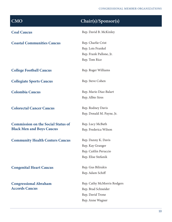| CMO                                       | Chair(s)/Sponsor(s)         |
|-------------------------------------------|-----------------------------|
| <b>Coal Caucus</b>                        | Rep. David B. McKinley      |
| <b>Coastal Communities Caucus</b>         | Rep. Charlie Crist          |
|                                           | Rep. Lois Frankel           |
|                                           | Rep. Frank Pallone, Jr.     |
|                                           | Rep. Tom Rice               |
| <b>College Football Caucus</b>            | Rep. Roger Williams         |
| <b>Collegiate Sports Caucus</b>           | Rep. Steve Cohen            |
| <b>Colombia Caucus</b>                    | Rep. Mario Diaz-Balart      |
|                                           | Rep. Albio Sires            |
| <b>Colorectal Cancer Caucus</b>           | Rep. Rodney Davis           |
|                                           | Rep. Donald M. Payne, Jr.   |
| <b>Commission on the Social Status of</b> | Rep. Lucy McBath            |
| <b>Black Men and Boys Caucus</b>          | Rep. Frederica Wilson       |
| <b>Community Health Centers Caucus</b>    | Rep. Danny K. Davis         |
|                                           | Rep. Kay Granger            |
|                                           | Rep. Caitlin Peruccio       |
|                                           | Rep. Elise Stefanik         |
| <b>Congenital Heart Caucus</b>            | Rep. Gus Bilirakis          |
|                                           | Rep. Adam Schiff            |
| <b>Congressional Abraham</b>              | Rep. Cathy McMorris Rodgers |
| <b>Accords Caucus</b>                     | Rep. Brad Schneider         |
|                                           | Rep. David Trone            |
|                                           | Rep. Anne Wagner            |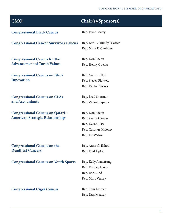| <b>CMO</b>                                   | Chair(s)/Sponsor(s)                                 |
|----------------------------------------------|-----------------------------------------------------|
| <b>Congressional Black Caucus</b>            | Rep. Joyce Beatty                                   |
| <b>Congressional Cancer Survivors Caucus</b> | Rep. Earl L. "Buddy" Carter<br>Rep. Mark DeSaulnier |
| <b>Congressional Caucus for the</b>          | Rep. Don Bacon                                      |
| <b>Advancement of Torah Values</b>           | Rep. Henry Cuellar                                  |
| <b>Congressional Caucus on Black</b>         | Rep. Andrew Noh                                     |
| <b>Innovation</b>                            | Rep. Stacey Plaskett                                |
|                                              | Rep. Ritchie Torres                                 |
| <b>Congressional Caucus on CPAs</b>          | Rep. Brad Sherman                                   |
| and Accountants                              | Rep. Victoria Spartz                                |
| <b>Congressional Caucus on Qatari -</b>      | Rep. Don Bacon                                      |
| <b>American Strategic Relationships</b>      | Rep. Andre Carson                                   |
|                                              | Rep. Darrell Issa                                   |
|                                              | Rep. Carolyn Maloney                                |
|                                              | Rep. Joe Wilson                                     |
| <b>Congressional Caucus on the</b>           | Rep. Anna G. Eshoo                                  |
| <b>Deadliest Cancers</b>                     | Rep. Fred Upton                                     |
| <b>Congressional Caucus on Youth Sports</b>  | Rep. Kelly Armstrong                                |
|                                              | Rep. Rodney Davis                                   |
|                                              | Rep. Ron Kind                                       |
|                                              | Rep. Marc Veasey                                    |
| <b>Congressional Cigar Caucus</b>            | Rep. Tom Emmer                                      |
|                                              | Rep. Dan Meuser                                     |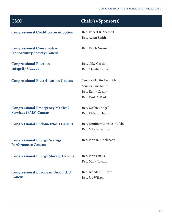| <b>CMO</b>                                                             | Chair(s)/Sponsor(s)           |
|------------------------------------------------------------------------|-------------------------------|
| <b>Congressional Coalition on Adoption</b>                             | Rep. Robert B. Aderholt       |
|                                                                        | Rep. Adam Smith               |
| <b>Congressional Conservative</b><br><b>Opportunity Society Caucus</b> | Rep. Ralph Norman             |
| <b>Congressional Election</b>                                          | Rep. Nike Garcia              |
| <b>Integrity Caucus</b>                                                | Rep. Claudia Tenney           |
| <b>Congressional Electrification Caucus</b>                            | Senator Martin Heinrich       |
|                                                                        | Senator Tina Smith            |
|                                                                        | Rep. Kathy Castor             |
|                                                                        | Rep. Paul D. Tonko            |
| <b>Congressional Emergency Medical</b>                                 | Rep. Debbie Dingell           |
| <b>Services (EMS) Caucus</b>                                           | Rep. Richard Hudson           |
| <b>Congressional Endometriosis Caucus</b>                              | Rep. Jenniffer González-Colón |
|                                                                        | Rep. Nikema Williams          |
| <b>Congressional Energy Savings</b><br><b>Performance Caucus</b>       | Rep. John R. Moolenaar        |
| <b>Congressional Energy Storage Caucus</b>                             | Rep. John Curtis              |
|                                                                        | Rep. Mark Takano              |
| <b>Congressional European Union (EU)</b>                               | Rep. Brendan F. Boyle         |
| <b>Caucus</b>                                                          | Rep. Joe Wilson               |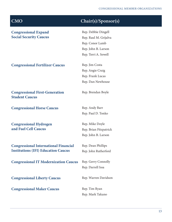| <b>CMO</b>                                                     | Chair(s)/Sponsor(s)    |
|----------------------------------------------------------------|------------------------|
| <b>Congressional Expand</b>                                    | Rep. Debbie Dingell    |
| <b>Social Security Caucus</b>                                  | Rep. Raul M. Grijalva  |
|                                                                | Rep. Conor Lamb        |
|                                                                | Rep. John B. Larson    |
|                                                                | Rep. Terri A. Sewell   |
| <b>Congressional Fertilizer Caucus</b>                         | Rep. Jim Costa         |
|                                                                | Rep. Angie Craig       |
|                                                                | Rep. Frank Lucas       |
|                                                                | Rep. Dan Newhouse      |
| <b>Congressional First-Generation</b><br><b>Student Caucus</b> | Rep. Brendan Boyle     |
| <b>Congressional Horse Caucus</b>                              | Rep. Andy Barr         |
|                                                                | Rep. Paul D. Tonko     |
| <b>Congressional Hydrogen</b>                                  | Rep. Mike Doyle        |
| and Fuel Cell Caucus                                           | Rep. Brian Fitzpatrick |
|                                                                | Rep. John B. Larson    |
| <b>Congressional International Financial</b>                   | Rep. Dean Phillips     |
| <b>Institutions (IFI) Education Caucus</b>                     | Rep. John Rutherford   |
| <b>Congressional IT Modernization Caucus</b>                   | Rep. Gerry Connolly    |
|                                                                | Rep. Darrell Issa      |
| <b>Congressional Liberty Caucus</b>                            | Rep. Warren Davidson   |
| <b>Congressional Maker Caucus</b>                              | Rep. Tim Ryan          |
|                                                                | Rep. Mark Takano       |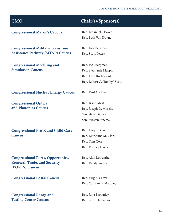| <b>CMO</b>                                            | Chair(s)/Sponsor(s)          |
|-------------------------------------------------------|------------------------------|
| <b>Congressional Mayor's Caucus</b>                   | Rep. Emanuel Cleaver         |
|                                                       | Rep. Beth Van Duyne          |
| <b>Congressional Military Transition</b>              | Rep. Jack Bergman            |
| <b>Assistance Pathway (MTAP) Caucus</b>               | Rep. Scott Peters            |
| <b>Congressional Modeling and</b>                     | Rep. Jack Bergman            |
| <b>Simulation Caucus</b>                              | Rep. Stephanie Murphy        |
|                                                       | Rep. John Rutherford         |
|                                                       | Rep. Robert C. "Bobby" Scott |
| <b>Congressional Nuclear Energy Caucus</b>            | Rep. Paul A. Gosar           |
| <b>Congressional Optics</b>                           | Rep. Brian Mast              |
| and Photonics Caucus                                  | Rep. Joseph D. Morelle       |
|                                                       | Sen. Steve Daines            |
|                                                       | Sen. Kyrsten Sinema          |
| <b>Congressional Pre-K and Child Care</b>             | Rep. Joaquin Castro          |
| <b>Caucus</b>                                         | Rep. Katherine M. Clark      |
|                                                       | Rep. Tom Cole                |
|                                                       | Rep. Rodney Davis            |
| <b>Congressional Ports, Opportunity,</b>              | Rep. Alan Lowenthal          |
| <b>Renewal, Trade, and Security</b><br>(PORTS) Caucus | Rep. Randy Weber             |
| <b>Congressional Postal Caucus</b>                    | Rep. Virginia Foxx           |
|                                                       | Rep. Carolyn B. Maloney      |
| <b>Congressional Range and</b>                        | Rep. Julia Brownley          |
| <b>Testing Center Caucus</b>                          | Rep. Scott DesJarlais        |
|                                                       |                              |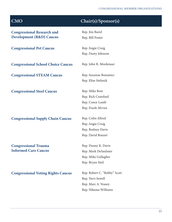| <b>CMO</b>                                | Chair(s)/Sponsor(s)          |
|-------------------------------------------|------------------------------|
| <b>Congressional Research and</b>         | Rep. Jim Baird               |
| <b>Development (R&amp;D) Caucus</b>       | Rep. Bill Foster             |
| <b>Congressional Pet Caucus</b>           | Rep. Angie Craig             |
|                                           | Rep. Dusty Johnson           |
| <b>Congressional School Choice Caucus</b> | Rep. John R. Moolenaar       |
| <b>Congressional STEAM Caucus</b>         | Rep. Suzanne Bonamici        |
|                                           | Rep. Elise Stefanik          |
| <b>Congressional Steel Caucus</b>         | Rep. Mike Bost               |
|                                           | Rep. Rick Crawford           |
|                                           | Rep. Conor Lamb              |
|                                           | Rep. Frank Mrvan             |
| <b>Congressional Supply Chain Caucus</b>  | Rep. Colin Allred            |
|                                           | Rep. Angie Craig             |
|                                           | Rep. Rodney Davis            |
|                                           | Rep. David Rouzer            |
| <b>Congressional Trauma</b>               | Rep. Danny K. Davis          |
| <b>Informed Care Caucus</b>               | Rep. Mark DeSaulnier         |
|                                           | Rep. Mike Gallagher          |
|                                           | Rep. Bryan Steil             |
| <b>Congressional Voting Rights Caucus</b> | Rep. Robert C. "Bobby" Scott |
|                                           | Rep. Terri Sewell            |
|                                           | Rep. Marc A. Veasey          |
|                                           | Rep. Nikema Williams         |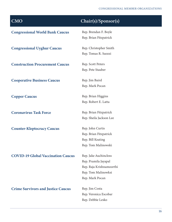| <b>CMO</b>                                | Chair(s)/Sponsor(s)      |
|-------------------------------------------|--------------------------|
| <b>Congressional World Bank Caucus</b>    | Rep. Brendan F. Boyle    |
|                                           | Rep. Brian Fitzpatrick   |
| <b>Congressional Uyghur Caucus</b>        | Rep. Christopher Smith   |
|                                           | Rep. Tomas R. Suozzi     |
| <b>Construction Procurement Caucus</b>    | Rep. Scott Peters        |
|                                           | Rep. Pete Stauber        |
| <b>Cooperative Business Caucus</b>        | Rep. Jim Baird           |
|                                           | Rep. Mark Pocan          |
| <b>Copper Caucus</b>                      | Rep. Brian Higgins       |
|                                           | Rep. Robert E. Latta     |
| <b>Coronavirus Task Force</b>             | Rep. Brian Fitzpatrick   |
|                                           | Rep. Sheila Jackson Lee  |
| <b>Counter-Kleptocracy Caucus</b>         | Rep. John Curtis         |
|                                           | Rep. Brian Fitzpatrick   |
|                                           | Rep. Bill Keating        |
|                                           | Rep. Tom Malinowski      |
| <b>COVID-19 Global Vaccination Caucus</b> | Rep. Jake Auchincloss    |
|                                           | Rep. Pramila Jayapal     |
|                                           | Rep. Raja Krishnamoorthi |
|                                           | Rep. Tom Malinowksi      |
|                                           | Rep. Mark Pocan          |
| <b>Crime Survivors and Justice Caucus</b> | Rep. Jim Costa           |
|                                           | Rep. Veronica Escobar    |
|                                           | Rep. Debbie Lesko        |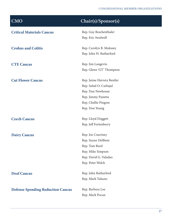| <b>CMO</b>                               | Chair(s)/Sponsor(s)        |
|------------------------------------------|----------------------------|
| <b>Critical Materials Caucus</b>         | Rep. Guy Reschenthaler     |
|                                          | Rep. Eric Swalwell         |
| <b>Crohns and Colitis</b>                | Rep. Carolyn B. Maloney    |
|                                          | Rep. John H. Rutherford    |
| <b>CTE Caucus</b>                        | Rep. Jim Langevin          |
|                                          | Rep. Glenn 'GT' Thompson   |
| <b>Cut Flower Caucus</b>                 | Rep. Jaime Herrera Beutler |
|                                          | Rep. Salud O. Carbajal     |
|                                          | Rep. Dan Newhouse          |
|                                          | Rep. Jimmy Panetta         |
|                                          | Rep. Chellie Pingree       |
|                                          | Rep. Don Young             |
| <b>Czech Caucus</b>                      | Rep. Lloyd Doggett         |
|                                          | Rep. Jeff Fortenberry      |
| <b>Dairy Caucus</b>                      | Rep. Joe Courtney          |
|                                          | Rep. Suzan DelBene         |
|                                          | Rep. Tom Reed              |
|                                          | Rep. Mike Simpson          |
|                                          | Rep. David G. Valadao      |
|                                          | Rep. Peter Welch           |
| <b>Deaf Caucus</b>                       | Rep. John Rutherford       |
|                                          | Rep. Mark Takano           |
| <b>Defense Spending Reduction Caucus</b> | Rep. Barbara Lee           |
|                                          | Rep. Mark Pocan            |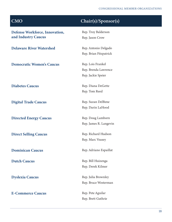| CMO                              | Chair(s)/Sponsor(s)    |
|----------------------------------|------------------------|
| Defense Workforce, Innovation,   | Rep. Troy Balderson    |
| and Industry Caucus              | Rep. Jason Crow        |
| <b>Delaware River Watershed</b>  | Rep. Antonio Delgado   |
|                                  | Rep. Brian Fitzpatrick |
| <b>Democratic Women's Caucus</b> | Rep. Lois Frankel      |
|                                  | Rep. Brenda Lawrence   |
|                                  | Rep. Jackie Speier     |
| <b>Diabetes Caucus</b>           | Rep. Diana DeGette     |
|                                  | Rep. Tom Reed          |
| <b>Digital Trade Caucus</b>      | Rep. Suzan DelBene     |
|                                  | Rep. Darin LaHood      |
| <b>Directed Energy Caucus</b>    | Rep. Doug Lamborn      |
|                                  | Rep. James R. Langevin |
| <b>Direct Selling Caucus</b>     | Rep. Richard Hudson    |
|                                  | Rep. Marc Veasey       |
| <b>Dominican Caucus</b>          | Rep. Adriano Espaillat |
| <b>Dutch Caucus</b>              | Rep. Bill Huizenga     |
|                                  | Rep. Derek Kilmer      |
| <b>Dyslexia Caucus</b>           | Rep. Julia Brownley    |
|                                  | Rep. Bruce Westerman   |
| <b>E-Commerce Caucus</b>         | Rep. Pete Aguilar      |
|                                  | Rep. Brett Guthrie     |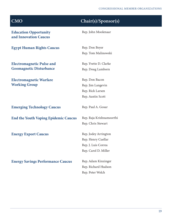Rep. John Moolenaar

Rep. Tom Malinowski

Rep. Yvette D. Clarke Rep. Doug Lamborn

Rep. Don Bacon

Rep. Jim Langevin

Rep. Rick Larsen Rep. Austin Scott

Education Opportunity and Innovation Caucus

Egypt Human Rights Caucus Rep. Don Beyer

Electromagnetic Pulse and Geomagnetic Disturbance

Electromagnetic Warfare Working Group

Emerging Technology Caucus Rep. Paul A. Gosar

End the Youth Vaping Epidemic Caucus Rep. Raja Krishnamoorthi

Energy Export Caucus Rep. Jodey Arrington

Rep. Henry Cuellar Rep. J. Luis Correa Rep. Carol D. Miller

Rep. Chris Stewart

Energy Savings Performance Caucus Rep. Adam Kinzinger

Rep. Richard Hudson Rep. Peter Welch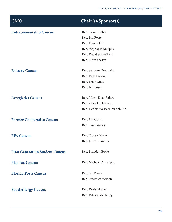| <b>Entrepreneurship Caucus</b>         | Rep. Steve Chabot             |
|----------------------------------------|-------------------------------|
|                                        | Rep. Bill Foster              |
|                                        | Rep. French Hill              |
|                                        | Rep. Stephanie Murphy         |
|                                        | Rep. David Schweikert         |
|                                        | Rep. Marc Veasey              |
|                                        |                               |
| <b>Estuary Caucus</b>                  | Rep. Suzanne Bonamici         |
|                                        | Rep. Rick Larsen              |
|                                        | Rep. Brian Mast               |
|                                        | Rep. Bill Posey               |
| <b>Everglades Caucus</b>               | Rep. Mario Diaz-Balart        |
|                                        | Rep. Alcee L. Hastings        |
|                                        | Rep. Debbie Wasserman Schultz |
|                                        |                               |
| <b>Farmer Cooperative Caucus</b>       | Rep. Jim Costa                |
|                                        | Rep. Sam Graves               |
|                                        |                               |
| <b>FFA Caucus</b>                      | Rep. Tracey Mann              |
|                                        | Rep. Jimmy Panetta            |
| <b>First Generation Student Caucus</b> | Rep. Brendan Boyle            |
|                                        |                               |
| <b>Flat Tax Caucus</b>                 | Rep. Michael C. Burgess       |
| <b>Florida Ports Caucus</b>            | Rep. Bill Posey               |
|                                        | Rep. Frederica Wilson         |
|                                        |                               |
| <b>Food Allergy Caucus</b>             | Rep. Doris Matsui             |
|                                        | Rep. Patrick McHenry          |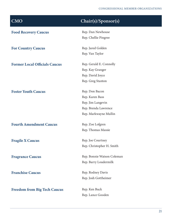| <b>CMO</b>                           | Chair(s)/Sponsor(s)        |
|--------------------------------------|----------------------------|
| <b>Food Recovery Caucus</b>          | Rep. Dan Newhouse          |
|                                      | Rep. Chellie Pingree       |
| <b>For Country Caucus</b>            | Rep. Jared Golden          |
|                                      | Rep. Van Taylor            |
| <b>Former Local Officials Caucus</b> | Rep. Gerald E. Connolly    |
|                                      | Rep. Kay Granger           |
|                                      | Rep. David Joyce           |
|                                      | Rep. Greg Stanton          |
| <b>Foster Youth Caucus</b>           | Rep. Don Bacon             |
|                                      | Rep. Karen Bass            |
|                                      | Rep. Jim Langevin          |
|                                      | Rep. Brenda Lawrence       |
|                                      | Rep. Markwayne Mullin      |
| <b>Fourth Amendment Caucus</b>       | Rep. Zoe Lofgren           |
|                                      | Rep. Thomas Massie         |
| <b>Fragile X Caucus</b>              | Rep. Joe Courtney          |
|                                      | Rep. Christopher H. Smith  |
| <b>Fragrance Caucus</b>              | Rep. Bonnie Watson Coleman |
|                                      | Rep. Barry Loudermilk      |
| <b>Franchise Caucus</b>              | Rep. Rodney Davis          |
|                                      | Rep. Josh Gottheimer       |
| <b>Freedom from Big Tech Caucus</b>  | Rep. Ken Buck              |
|                                      | Rep. Lance Gooden          |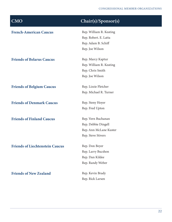| $\overline{\text{CMO}}$                | $\overline{\text{Chair}(s)}$ /Sponsor(s) |
|----------------------------------------|------------------------------------------|
| <b>French-American Caucus</b>          | Rep. William R. Keating                  |
|                                        | Rep. Robert. E. Latta                    |
|                                        | Rep. Adam B. Schiff                      |
|                                        | Rep. Joe Wilson                          |
| <b>Friends of Belarus Caucus</b>       | Rep. Marcy Kaptur                        |
|                                        | Rep. William R. Keating                  |
|                                        | Rep. Chris Smith                         |
|                                        | Rep. Joe Wilson                          |
| <b>Friends of Belgium Caucus</b>       | Rep. Lizzie Fletcher                     |
|                                        | Rep. Michael R. Turner                   |
| <b>Friends of Denmark Caucus</b>       | Rep. Steny Hoyer                         |
|                                        | Rep. Fred Upton                          |
| <b>Friends of Finland Caucus</b>       | Rep. Vern Buchanan                       |
|                                        | Rep. Debbie Dingell                      |
|                                        | Rep. Ann McLane Kuster                   |
|                                        | Rep. Steve Stivers                       |
| <b>Friends of Liechtenstein Caucus</b> | Rep. Don Beyer                           |
|                                        | Rep. Larry Bucshon                       |
|                                        | Rep. Dan Kildee                          |
|                                        | Rep. Randy Weber                         |
| <b>Friends of New Zealand</b>          | Rep. Kevin Brady                         |
|                                        | Rep. Rick Larsen                         |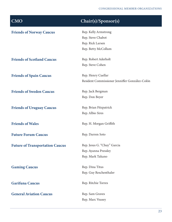| <b>CMO</b>                             | Chair(s)/Sponsor(s)                            |
|----------------------------------------|------------------------------------------------|
| <b>Friends of Norway Caucus</b>        | Rep. Kelly Armstrong                           |
|                                        | Rep. Steve Chabot                              |
|                                        | Rep. Rick Larsen                               |
|                                        | Rep. Betty McCollum                            |
| <b>Friends of Scotland Caucus</b>      | Rep. Robert Aderholt                           |
|                                        | Rep. Steve Cohen                               |
| <b>Friends of Spain Caucus</b>         | Rep. Henry Cuellar                             |
|                                        | Resident Commissioner Jenniffer González-Colón |
| <b>Friends of Sweden Caucus</b>        | Rep. Jack Bergman                              |
|                                        | Rep. Don Beyer                                 |
| <b>Friends of Uruguay Caucus</b>       | Rep. Brian Fitzpatrick                         |
|                                        | Rep. Albio Sires                               |
| <b>Friends of Wales</b>                | Rep. H. Morgan Griffith                        |
| <b>Future Forum Caucus</b>             | Rep. Darren Soto                               |
| <b>Future of Transportation Caucus</b> | Rep. Jesus G. "Chuy" Garcia                    |
|                                        | Rep. Ayanna Pressley                           |
|                                        | Rep. Mark Takano                               |
| <b>Gaming Caucus</b>                   | Rep. Dina Titus                                |
|                                        | Rep. Guy Reschenthaler                         |
| <b>Garifuna Caucus</b>                 | Rep. Ritchie Torres                            |
| <b>General Aviation Caucus</b>         | Rep. Sam Graves                                |
|                                        | Rep. Marc Veasey                               |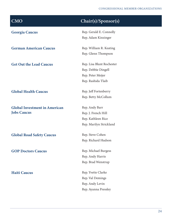### CONGRESSIONAL MEMBER ORGANIZATIONS

| <b>CMO</b>                           | Chair(s)/Sponsor(s)       |
|--------------------------------------|---------------------------|
| <b>Georgia Caucus</b>                | Rep. Gerald E. Connolly   |
|                                      | Rep. Adam Kinzinger       |
| <b>German American Caucus</b>        | Rep. William R. Keating   |
|                                      | Rep. Glenn Thompson       |
| <b>Get Out the Lead Caucus</b>       | Rep. Lisa Blunt Rochester |
|                                      | Rep. Debbie Dingell       |
|                                      | Rep. Peter Meijer         |
|                                      | Rep. Rashida Tlaib        |
| <b>Global Health Caucus</b>          | Rep. Jeff Fortenberry     |
|                                      | Rep. Betty McCollum       |
| <b>Global Investment in American</b> | Rep. Andy Barr            |
| <b>Jobs Caucus</b>                   | Rep. J. French Hill       |
|                                      | Rep. Kathleen Rice        |
|                                      | Rep. Marilyn Strickland   |
| <b>Global Road Safety Caucus</b>     | Rep. Steve Cohen          |
|                                      | Rep. Richard Hudson       |
| <b>GOP Doctors Caucus</b>            | Rep. Michael Burgess      |
|                                      | Rep. Andy Harris          |
|                                      | Rep. Brad Wenstrup        |
| <b>Haiti Caucus</b>                  | Rep. Yvette Clarke        |
|                                      | Rep. Val Demings          |
|                                      | Rep. Andy Levin           |
|                                      | Rep. Ayanna Pressley      |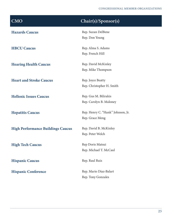| <b>CMO</b>                               | Chair(s)/Sponsor(s)               |
|------------------------------------------|-----------------------------------|
| <b>Hazards Caucus</b>                    | Rep. Suzan DelBene                |
|                                          | Rep. Don Young                    |
| <b>HBCU Caucus</b>                       | Rep. Alma S. Adams                |
|                                          | Rep. French Hill                  |
| <b>Hearing Health Caucus</b>             | Rep. David McKinley               |
|                                          | Rep. Mike Thompson                |
| <b>Heart and Stroke Caucus</b>           | Rep. Joyce Beatty                 |
|                                          | Rep. Christopher H. Smith         |
| <b>Hellenic Issues Caucus</b>            | Rep. Gus M. Bilirakis             |
|                                          | Rep. Carolyn B. Maloney           |
| <b>Hepatitis Caucus</b>                  | Rep. Henry C. "Hank" Johnson, Jr. |
|                                          | Rep. Grace Meng                   |
| <b>High Performance Buildings Caucus</b> | Rep. David B. McKinley            |
|                                          | Rep. Peter Welch                  |
| <b>High Tech Caucus</b>                  | Rep Doris Matsui                  |
|                                          | Rep. Michael T. McCaul            |
|                                          | Rep. Raul Ruiz                    |
| <b>Hispanic Caucus</b>                   |                                   |
| <b>Hispanic Conference</b>               | Rep. Mario Diaz-Balart            |
|                                          | Rep. Tony Gonzales                |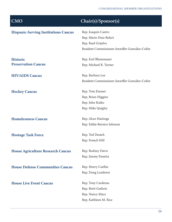| <b>CMO</b>                                  | Chair(s)/Sponsor(s)                            |
|---------------------------------------------|------------------------------------------------|
| <b>Hispanic-Serving Institutions Caucus</b> | Rep. Joaquin Castro                            |
|                                             | Rep. Mario Diaz-Balart                         |
|                                             | Rep. Raul Grijalva                             |
|                                             | Resident Commissioner Jenniffer González-Colón |
| <b>Historic</b>                             | Rep. Earl Blumenauer                           |
| <b>Preservation Caucus</b>                  | Rep. Michael R. Turner                         |
| <b>HIV/AIDS Caucus</b>                      | Rep. Barbara Lee                               |
|                                             | Resident Commissioner Jenniffer González-Colón |
| <b>Hockey Caucus</b>                        | Rep. Tom Emmer                                 |
|                                             | Rep. Brian Higgins                             |
|                                             | Rep. John Katko                                |
|                                             | Rep. Mike Quigley                              |
| <b>Homelessness Caucus</b>                  | Rep. Alcee Hastings                            |
|                                             | Rep. Eddie Bernice Johnson                     |
| <b>Hostage Task Force</b>                   | Rep. Ted Deutch                                |
|                                             | Rep. French Hill                               |
| <b>House Agriculture Research Caucus</b>    | Rep. Rodney Davis                              |
|                                             | Rep. Jimmy Panetta                             |
| <b>House Defense Communities Caucus</b>     | Rep. Henry Cuellar                             |
|                                             | Rep. Doug Lamborn                              |
| <b>House Live Event Caucus</b>              | Rep. Tony Cardenas                             |
|                                             | Rep. Brett Guthrie                             |
|                                             | Rep. Nancy Mace                                |
|                                             | Rep. Kathleen M. Rice                          |
|                                             |                                                |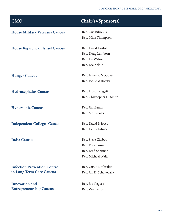| CMO                                   | Chair(s)/Sponsor(s)       |
|---------------------------------------|---------------------------|
| <b>House Military Veterans Caucus</b> | Rep. Gus Bilirakis        |
|                                       | Rep. Mike Thompson        |
| <b>House Republican Israel Caucus</b> | Rep. David Kustoff        |
|                                       | Rep. Doug Lamborn         |
|                                       | Rep. Joe Wilson           |
|                                       | Rep. Lee Zeldin           |
| <b>Hunger Caucus</b>                  | Rep. James P. McGovern    |
|                                       | Rep. Jackie Walorski      |
| <b>Hydrocephalus Caucus</b>           | Rep. Lloyd Doggett        |
|                                       | Rep. Christopher H. Smith |
| <b>Hypersonic Caucus</b>              | Rep. Jim Banks            |
|                                       | Rep. Mo Brooks            |
| <b>Independent Colleges Caucus</b>    | Rep. David P. Joyce       |
|                                       | Rep. Derek Kilmer         |
| <b>India Caucus</b>                   | Rep. Steve Chabot         |
|                                       | Rep. Ro Khanna            |
|                                       | Rep. Brad Sherman         |
|                                       | Rep. Michael Waltz        |
| <b>Infection Prevention Control</b>   | Rep. Gus. M. Bilirakis    |
| in Long Term Care Caucus              | Rep. Jan D. Schakowsky    |
| <b>Innovation and</b>                 | Rep. Joe Neguse           |
| <b>Entrepreneurship Caucus</b>        | Rep. Van Taylor           |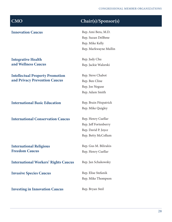### **Innovation Caucus** Rep. Ami Bera, M.D.

Integrative Health and Wellness Caucus

Intellectual Property Promotion and Privacy Prevention Caucus

**International Basic Education** Rep. Brain Fitzpatrick

**International Conservation Caucus** Rep. Henry Cuellar

International Religious Freedom Caucus

International Workers' Rights Caucus Rep. Jan Schakowsky

Invasive Species Caucus Rep. Elise Stefanik

**Investing in Innovation Caucus** Rep. Bryan Steil

## CMO Chair(s)/Sponsor(s)

Rep. Suzan DelBene Rep. Mike Kelly Rep. Markwayne Mullin

Rep. Judy Chu Rep. Jackie Walorski

Rep. Steve Chabot Rep. Ben Cline Rep. Joe Neguse Rep. Adam Smith

Rep. Mike Quigley

Rep. Jeff Fortenberry Rep. David P. Joyce Rep. Betty McCollum

Rep. Gus M. Bilirakis Rep. Henry Cuellar

Rep. Mike Thompson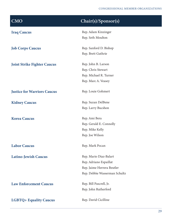| <b>CMO</b>                         | Chair(s)/Sponsor(s)           |
|------------------------------------|-------------------------------|
| <b>Iraq Caucus</b>                 | Rep. Adam Kinzinger           |
|                                    | Rep. Seth Moulton             |
| <b>Job Corps Caucus</b>            | Rep. Sanford D. Bishop        |
|                                    | Rep. Brett Guthrie            |
| <b>Joint Strike Fighter Caucus</b> | Rep. John B. Larson           |
|                                    | Rep. Chris Stewart            |
|                                    | Rep. Michael R. Turner        |
|                                    | Rep. Marc A. Veasey           |
| <b>Justice for Warriors Caucus</b> | Rep. Louie Gohmert            |
| <b>Kidney Caucus</b>               | Rep. Suzan DelBene            |
|                                    | Rep. Larry Bucshon            |
| <b>Korea Caucus</b>                | Rep. Ami Bera                 |
|                                    | Rep. Gerald E. Connolly       |
|                                    | Rep. Mike Kelly               |
|                                    | Rep. Joe Wilson               |
| <b>Labor Caucus</b>                | Rep. Mark Pocan               |
| <b>Latino-Jewish Caucus</b>        | Rep. Mario Diaz-Balart        |
|                                    | Rep. Adriano Espaillat        |
|                                    | Rep. Jaime Herrera Beutler    |
|                                    | Rep. Debbie Wasserman Schultz |
| <b>Law Enforcement Caucus</b>      | Rep. Bill Pascrell, Jr.       |
|                                    | Rep. John Rutherford          |
| <b>LGBTQ+ Equality Caucus</b>      | Rep. David Cicilline          |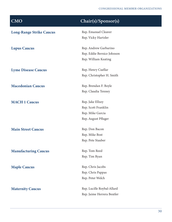| <b>CMO</b>                      | Chair(s)/Sponsor(s)        |
|---------------------------------|----------------------------|
| <b>Long-Range Strike Caucus</b> | Rep. Emanuel Cleaver       |
|                                 | Rep. Vicky Hartzler        |
| <b>Lupus Caucus</b>             | Rep. Andrew Garbarino      |
|                                 | Rep. Eddie Bernice Johnson |
|                                 | Rep. William Keating       |
| <b>Lyme Disease Caucus</b>      | Rep. Henry Cuellar         |
|                                 | Rep. Christopher H. Smith  |
| <b>Macedonian Caucus</b>        | Rep. Brendan F. Boyle      |
|                                 | Rep. Claudia Tenney        |
| <b>MACH 1 Caucus</b>            | Rep. Jake Ellzey           |
|                                 | Rep. Scott Franklin        |
|                                 | Rep. Mike Garcia           |
|                                 | Rep. August Pfluger        |
| <b>Main Street Caucus</b>       | Rep. Don Bacon             |
|                                 | Rep. Mike Bost             |
|                                 | Rep. Pete Stauber          |
| <b>Manufacturing Caucus</b>     | Rep. Tom Reed              |
|                                 | Rep. Tim Ryan              |
| <b>Maple Caucus</b>             | Rep. Chris Jacobs          |
|                                 | Rep. Chris Pappas          |
|                                 | Rep. Peter Welch           |
| <b>Maternity Caucus</b>         | Rep. Lucille Roybal-Allard |
|                                 | Rep. Jaime Herrera Beutler |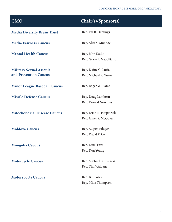| <b>CMO</b>                                              | Chair(s)/Sponsor(s)                                 |
|---------------------------------------------------------|-----------------------------------------------------|
| <b>Media Diversity Brain Trust</b>                      | Rep. Val B. Demings                                 |
| <b>Media Fairness Caucus</b>                            | Rep. Alex X. Mooney                                 |
| <b>Mental Health Caucus</b>                             | Rep. John Katko<br>Rep. Grace F. Napolitano         |
| <b>Military Sexual Assault</b><br>and Prevention Caucus | Rep. Elaine G. Luria<br>Rep. Michael R. Turner      |
| <b>Minor League Baseball Caucus</b>                     | Rep. Roger Williams                                 |
| <b>Missile Defense Caucus</b>                           | Rep. Doug Lamborn<br>Rep. Donald Norcross           |
| <b>Mitochondrial Disease Caucus</b>                     | Rep. Brian K. Fitzpatrick<br>Rep. James P. McGovern |
| <b>Moldova Caucus</b>                                   | Rep. August Pfluger<br>Rep. David Price             |
| <b>Mongolia Caucus</b>                                  | Rep. Dina Titus<br>Rep. Don Young                   |
| <b>Motorcycle Caucus</b>                                | Rep. Michael C. Burgess<br>Rep. Tim Walberg         |
| <b>Motorsports Caucus</b>                               | Rep. Bill Posey<br>Rep. Mike Thompson               |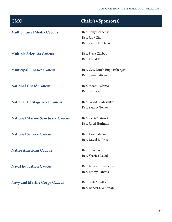| <b>CMO</b>                              | Chair(s)/Sponsor(s)           |
|-----------------------------------------|-------------------------------|
| <b>Multicultural Media Caucus</b>       | Rep. Tony Cardenas            |
|                                         | Rep. Judy Chu                 |
|                                         | Rep. Yvette D. Clarke         |
| <b>Multiple Sclerosis Caucus</b>        | Rep. Steve Chabot             |
|                                         | Rep. David E. Price           |
| <b>Municipal Finance Caucus</b>         | Rep. C.A. Dutch Ruppersberger |
|                                         | Rep. Steven Stivers           |
| <b>National Guard Caucus</b>            | Rep. Steven Palazzo           |
|                                         | Rep. Tim Ryan                 |
| <b>National Heritage Area Caucus</b>    | Rep. David B. Mckinley, P.E.  |
|                                         | Rep. Paul D. Tonko            |
| <b>National Marine Sanctuary Caucus</b> | Rep. Garret Graves            |
|                                         | Rep. Jared Huffman            |
| <b>National Service Caucus</b>          | Rep. Doris Matsui             |
|                                         | Rep. David E. Price           |
| <b>Native American Caucus</b>           | Rep. Tom Cole                 |
|                                         | Rep. Sharice Davids           |
| <b>Naval Education Caucus</b>           | Rep. James R. Langevin        |
|                                         | Rep. Jimmy Panetta            |
| <b>Navy and Marine Corps Caucus</b>     | Rep. Seth Moulton             |
|                                         | Rep. Robert J. Wittman        |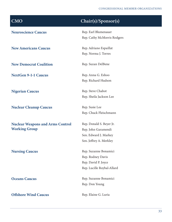### CONGRESSIONAL MEMBER ORGANIZATIONS

| <b>CMO</b>                              | Chair(s)/Sponsor(s)         |
|-----------------------------------------|-----------------------------|
| <b>Neuroscience Caucus</b>              | Rep. Earl Blumenauer        |
|                                         | Rep. Cathy McMorris Rodgers |
| <b>New Americans Caucus</b>             | Rep. Adriano Espaillat      |
|                                         | Rep. Norma J. Torres        |
| <b>New Democrat Coalition</b>           | Rep. Suzan DelBene          |
| <b>NextGen 9-1-1 Caucus</b>             | Rep. Anna G. Eshoo          |
|                                         | Rep. Richard Hudson         |
| <b>Nigerian Caucus</b>                  | Rep. Steve Chabot           |
|                                         | Rep. Sheila Jackson Lee     |
| <b>Nuclear Cleanup Caucus</b>           | Rep. Susie Lee              |
|                                         | Rep. Chuck Fleischmann      |
| <b>Nuclear Weapons and Arms Control</b> | Rep. Donald S. Beyer Jr.    |
| <b>Working Group</b>                    | Rep. John Garamendi         |
|                                         | Sen. Edward J. Markey       |
|                                         | Sen. Jeffrey A. Merkley     |
| <b>Nursing Caucus</b>                   | Rep. Suzanne Bonamici       |
|                                         | Rep. Rodney Davis           |
|                                         | Rep. David P. Joyce         |
|                                         | Rep. Lucille Roybal-Allard  |
| <b>Oceans Caucus</b>                    | Rep. Suzanne Bonamici       |
|                                         | Rep. Don Young              |
| <b>Offshore Wind Caucus</b>             | Rep. Elaine G. Luria        |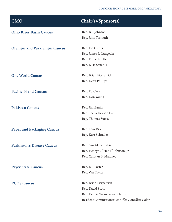| <b>CMO</b>                           | Chair(s)/Sponsor(s)                            |
|--------------------------------------|------------------------------------------------|
| <b>Ohio River Basin Caucus</b>       | Rep. Bill Johnson                              |
|                                      | Rep. John Yarmuth                              |
| <b>Olympic and Paralympic Caucus</b> | Rep. Jon Curtis                                |
|                                      | Rep. James R. Langevin                         |
|                                      | Rep. Ed Perlmutter                             |
|                                      | Rep. Elise Stefanik                            |
| <b>One World Caucus</b>              | Rep. Brian Fitzpatrick                         |
|                                      | Rep. Dean Phillips                             |
| <b>Pacific Island Caucus</b>         | Rep. Ed Case                                   |
|                                      | Rep. Don Young                                 |
| <b>Pakistan Caucus</b>               | Rep. Jim Banks                                 |
|                                      | Rep. Sheila Jackson Lee                        |
|                                      | Rep. Thomas Suozzi                             |
| <b>Paper and Packaging Caucus</b>    | Rep. Tom Rice                                  |
|                                      | Rep. Kurt Schrader                             |
| <b>Parkinson's Disease Caucus</b>    | Rep. Gus M. Bilirakis                          |
|                                      | Rep. Henry C. "Hank" Johnson, Jr.              |
|                                      | Rep. Carolyn B. Maloney                        |
| <b>Payer State Caucus</b>            | Rep. Bill Foster                               |
|                                      | Rep. Van Taylor                                |
| <b>PCOS Caucus</b>                   | Rep. Brian Fitzpatrick                         |
|                                      | Rep. David Scott                               |
|                                      | Rep. Debbie Wasserman Schultz                  |
|                                      | Resident Commissioner Jenniffer González-Colón |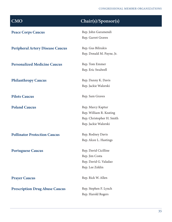| <b>CMO</b>                              | Chair(s)/Sponsor(s)       |
|-----------------------------------------|---------------------------|
| <b>Peace Corps Caucus</b>               | Rep. John Garamendi       |
|                                         | Rep. Garret Graves        |
| <b>Peripheral Artery Disease Caucus</b> | Rep. Gus Bilirakis        |
|                                         | Rep. Donald M. Payne, Jr. |
| <b>Personalized Medicine Caucus</b>     | Rep. Tom Emmer            |
|                                         | Rep. Eric Swalwell        |
| <b>Philanthropy Caucus</b>              | Rep. Danny K. Davis       |
|                                         | Rep. Jackie Walorski      |
| <b>Pilots Caucus</b>                    | Rep. Sam Graves           |
| <b>Poland Caucus</b>                    | Rep. Marcy Kaptur         |
|                                         | Rep. William R. Keating   |
|                                         | Rep. Christopher H. Smith |
|                                         | Rep. Jackie Walorski      |
| <b>Pollinator Protection Caucus</b>     | Rep. Rodney Davis         |
|                                         | Rep. Alcee L. Hastings    |
| <b>Portuguese Caucus</b>                | Rep. David Cicilline      |
|                                         | Rep. Jim Costa            |
|                                         | Rep. David G. Valadao     |
|                                         | Rep. Lee Zeldin           |
| <b>Prayer Caucus</b>                    | Rep. Rick W. Allen        |
| <b>Prescription Drug Abuse Caucus</b>   | Rep. Stephen F. Lynch     |
|                                         | Rep. Harold Rogers        |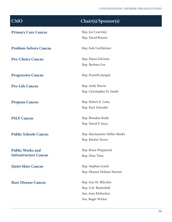| <b>CMO</b>                    | Chair(s)/Sponsor(s)           |
|-------------------------------|-------------------------------|
| <b>Primary Care Caucus</b>    | Rep. Joe Courtney             |
|                               | Rep. David Rouzer             |
| <b>Problem Solvers Caucus</b> | Rep. Josh Gottheimer          |
| <b>Pro-Choice Caucus</b>      | Rep. Diana DeGette            |
|                               | Rep. Barbara Lee              |
| <b>Progressive Caucus</b>     | Rep. Pramila Jayapal          |
| <b>Pro-Life Caucus</b>        | Rep. Andy Harris              |
|                               | Rep. Christopher H. Smith     |
| <b>Propane Caucus</b>         | Rep. Robert E. Latta          |
|                               | Rep. Kurt Schrader            |
| <b>PSLF Caucus</b>            | Rep. Brendan Boyle            |
|                               | Rep. David P. Joyce           |
| <b>Public Schools Caucus</b>  | Rep. Mariannette Miller-Meeks |
|                               | Rep. Ritchie Torres           |
| <b>Public Works and</b>       | Rep. Brian Fitzpatrick        |
| <b>Infrastructure Caucus</b>  | Rep. Dina Titus               |
| <b>Quiet Skies Caucus</b>     | Rep. Stephen Lynch            |
|                               | Rep. Eleanor Holmes Norton    |
| <b>Rare Disease Caucus</b>    | Rep. Gus M. Bilirakis         |
|                               | Rep. G.K. Butterfield         |
|                               | Sen. Amy Klobuchar            |
|                               | Sen. Roger Wicker             |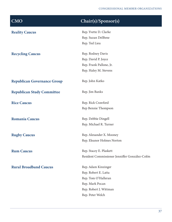| $\overline{\text{CMO}}$            | Chair(s)/Sponsor(s)                            |
|------------------------------------|------------------------------------------------|
| <b>Reality Caucus</b>              | Rep. Yvette D. Clarke                          |
|                                    | Rep. Suzan DelBene                             |
|                                    | Rep. Ted Lieu                                  |
| <b>Recycling Caucus</b>            | Rep. Rodney Davis                              |
|                                    | Rep. David P. Joyce                            |
|                                    | Rep. Frank Pallone, Jr.                        |
|                                    | Rep. Haley M. Stevens                          |
| <b>Republican Governance Group</b> | Rep. John Katko                                |
| <b>Republican Study Committee</b>  | Rep. Jim Banks                                 |
| <b>Rice Caucus</b>                 | Rep. Rick Crawford                             |
|                                    | Rep Bennie Thompson                            |
| <b>Romania Caucus</b>              | Rep. Debbie Dingell                            |
|                                    | Rep. Michael R. Turner                         |
| <b>Rugby Caucus</b>                | Rep. Alexander X. Mooney                       |
|                                    | Rep. Eleanor Holmes Norton                     |
| <b>Rum Caucus</b>                  | Rep. Stacey E. Plaskett                        |
|                                    | Resident Commissioner Jenniffer González-Colón |
| <b>Rural Broadband Caucus</b>      | Rep. Adam Kinzinger                            |
|                                    | Rep. Robert E. Latta                           |
|                                    | Rep. Tom O'Halleran                            |
|                                    | Rep. Mark Pocan                                |
|                                    | Rep. Robert J. Wittman                         |
|                                    | Rep. Peter Welch                               |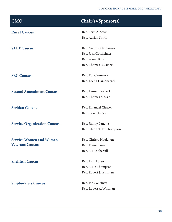| <b>CMO</b>                         | Chair(s)/Sponsor(s)      |
|------------------------------------|--------------------------|
| <b>Rural Caucus</b>                | Rep. Terri A. Sewell     |
|                                    | Rep. Adrian Smith        |
| <b>SALT Caucus</b>                 | Rep. Andrew Garbarino    |
|                                    | Rep. Josh Gottheimer     |
|                                    | Rep. Young Kim           |
|                                    | Rep. Thomas R. Suozzi    |
| <b>SEC Caucus</b>                  | Rep. Kat Cammack         |
|                                    | Rep. Diana Harshbarger   |
| <b>Second Amendment Caucus</b>     | Rep. Lauren Boebert      |
|                                    | Rep. Thomas Massie       |
| <b>Serbian Caucus</b>              | Rep. Emanuel Cleaver     |
|                                    | Rep. Steve Stivers       |
| <b>Service Organization Caucus</b> | Rep. Jimmy Panetta       |
|                                    | Rep. Glenn "GT" Thompson |
| <b>Service Women and Women</b>     | Rep. Chrissy Houlahan    |
| <b>Veterans Caucus</b>             | Rep. Elaine Luria        |
|                                    | Rep. Mikie Sherrill      |
| <b>Shellfish Caucus</b>            | Rep. John Larson         |
|                                    | Rep. Mike Thompson       |
|                                    | Rep. Robert J. Wittman   |
| <b>Shipbuilders Caucus</b>         | Rep. Joe Courtney        |
|                                    | Rep. Robert A. Wittman   |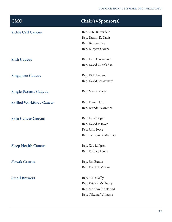| <b>CMO</b>                      | Chair(s)/Sponsor(s)     |
|---------------------------------|-------------------------|
| <b>Sickle Cell Caucus</b>       | Rep. G.K. Butterfield   |
|                                 | Rep. Danny K. Davis     |
|                                 | Rep. Barbara Lee        |
|                                 | Rep. Burgess Owens      |
| <b>Sikh Caucus</b>              | Rep. John Garamendi     |
|                                 | Rep. David G. Valadao   |
| <b>Singapore Caucus</b>         | Rep. Rick Larsen        |
|                                 | Rep. David Schweikert   |
| <b>Single Parents Caucus</b>    | Rep. Nancy Mace         |
| <b>Skilled Workforce Caucus</b> | Rep. French Hill        |
|                                 | Rep. Brenda Lawrence    |
| <b>Skin Cancer Caucus</b>       | Rep. Jim Cooper         |
|                                 | Rep. David P. Joyce     |
|                                 | Rep. John Joyce         |
|                                 | Rep. Carolyn B. Maloney |
| <b>Sleep Health Caucus</b>      | Rep. Zoe Lofgren        |
|                                 | Rep. Rodney Davis       |
| <b>Slovak Caucus</b>            | Rep. Jim Banks          |
|                                 | Rep. Frank J. Mrvan     |
| <b>Small Brewers</b>            | Rep. Mike Kelly         |
|                                 | Rep. Patrick McHenry    |
|                                 | Rep. Marilyn Strickland |
|                                 | Rep. Nikema Williams    |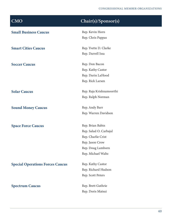| <b>CMO</b>                              | Chair(s)/Sponsor(s)      |
|-----------------------------------------|--------------------------|
| <b>Small Business Caucus</b>            | Rep. Kevin Horn          |
|                                         | Rep. Chris Pappas        |
| <b>Smart Cities Caucus</b>              | Rep. Yvette D. Clarke    |
|                                         | Rep. Darrell Issa        |
| <b>Soccer Caucus</b>                    | Rep. Don Bacon           |
|                                         | Rep. Kathy Castor        |
|                                         | Rep. Darin LaHood        |
|                                         | Rep. Rick Larsen         |
| <b>Solar Caucus</b>                     | Rep. Raja Krishnamoorthi |
|                                         | Rep. Ralph Norman        |
| <b>Sound Money Caucus</b>               | Rep. Andy Barr           |
|                                         | Rep. Warren Davidson     |
| <b>Space Force Caucus</b>               | Rep. Brian Babin         |
|                                         | Rep. Salud O. Carbajal   |
|                                         | Rep. Charlie Crist       |
|                                         | Rep. Jason Crow          |
|                                         | Rep. Doug Lamborn        |
|                                         | Rep. Michael Waltz       |
| <b>Special Operations Forces Caucus</b> | Rep. Kathy Castor        |
|                                         | Rep. Richard Hudson      |
|                                         | Rep. Scott Peters        |
| <b>Spectrum Caucus</b>                  | Rep. Brett Guthrie       |
|                                         | Rep. Doris Matsui        |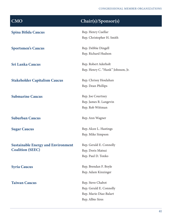### CONGRESSIONAL MEMBER ORGANIZATIONS

| <b>CMO</b>                                | Chair(s)/Sponsor(s)               |
|-------------------------------------------|-----------------------------------|
| <b>Spina Bifida Caucus</b>                | Rep. Henry Cuellar                |
|                                           | Rep. Christopher H. Smith         |
| <b>Sportsmen's Caucus</b>                 | Rep. Debbie Dingell               |
|                                           | Rep. Richard Hudson               |
| <b>Sri Lanka Caucus</b>                   | Rep. Robert Aderholt              |
|                                           | Rep. Henry C. "Hank" Johnson, Jr. |
| <b>Stakeholder Capitalism Caucus</b>      | Rep. Chrissy Houlahan             |
|                                           | Rep. Dean Phillips                |
| <b>Submarine Caucus</b>                   | Rep. Joe Courtney                 |
|                                           | Rep. James R. Langevin            |
|                                           | Rep. Rob Wittman                  |
| <b>Suburban Caucus</b>                    | Rep. Ann Wagner                   |
| <b>Sugar Caucus</b>                       | Rep. Alcee L. Hastings            |
|                                           | Rep. Mike Simpson                 |
| <b>Sustainable Energy and Environment</b> | Rep. Gerald E. Connolly           |
| <b>Coalition (SEEC)</b>                   | Rep. Doris Matsui                 |
|                                           | Rep. Paul D. Tonko                |
| <b>Syria Caucus</b>                       | Rep. Brendan F. Boyle             |
|                                           | Rep. Adam Kinzinger               |
| <b>Taiwan Caucus</b>                      | Rep. Steve Chabot                 |
|                                           | Rep. Gerald E. Connolly           |
|                                           | Rep. Mario Diaz-Balart            |
|                                           | Rep. Albio Sires                  |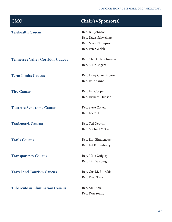| $\overline{\text{CMO}}$                 | Chair(s)/Sponsor(s)     |
|-----------------------------------------|-------------------------|
| <b>Telehealth Caucus</b>                | Rep. Bill Johnson       |
|                                         | Rep. Davis Schweikert   |
|                                         | Rep. Mike Thompson      |
|                                         | Rep. Peter Welch        |
| <b>Tennessee Valley Corridor Caucus</b> | Rep. Chuck Fleischmann  |
|                                         | Rep. Mike Rogers        |
| <b>Term Limits Caucus</b>               | Rep. Jodey C. Arrington |
|                                         | Rep. Ro Khanna          |
| <b>Tire Caucus</b>                      | Rep. Jim Cooper         |
|                                         | Rep. Richard Hudson     |
| <b>Tourette Syndrome Caucus</b>         | Rep. Steve Cohen        |
|                                         | Rep. Lee Zeldin         |
| <b>Trademark Caucus</b>                 | Rep. Ted Deutch         |
|                                         | Rep. Michael McCaul     |
| <b>Trails Caucus</b>                    | Rep. Earl Blumenauer    |
|                                         | Rep. Jeff Fortenberry   |
| <b>Transparency Caucus</b>              | Rep. Mike Quigley       |
|                                         | Rep. Tim Walberg        |
| <b>Travel and Tourism Caucus</b>        | Rep. Gus M. Bilirakis   |
|                                         | Rep. Dina Titus         |
| <b>Tuberculosis Elimination Caucus</b>  | Rep. Ami Bera           |
|                                         | Rep. Don Young          |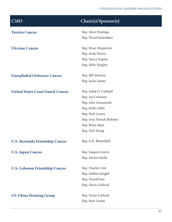| $\overline{\text{CMO}}$                 | Chair(s)/Sponsor(s)       |
|-----------------------------------------|---------------------------|
| <b>Tunisia Caucus</b>                   | Rep. Alcee Hastings       |
|                                         | Rep. David Schweikert     |
| <b>Ukraine Caucus</b>                   | Rep. Brian Fitzpatrick    |
|                                         | Rep. Andy Harris          |
|                                         | Rep. Marcy Kaptur         |
|                                         | Rep. Mike Quigley         |
| <b>Unexploded Ordnance Caucus</b>       | Rep. Bill Johnson         |
|                                         | Rep. Jackie Speier        |
| <b>United States Coast Guard Caucus</b> | Rep. Salud O. Carbajal    |
|                                         | Rep. Joe Courtney         |
|                                         | Rep. John Garamendi       |
|                                         | Rep. Bobb Gibbs           |
|                                         | Rep. Rick Larsen          |
|                                         | Rep. Sean Patrick Maloney |
|                                         | Rep. Brian Mast           |
|                                         | Rep. Don Young            |
| <b>U.S.-Bermuda Friendship Caucus</b>   | Rep. G.K. Butterfield     |
| <b>U.S.-Japan Caucus</b>                | Rep. Joaquin Castro       |
|                                         | Rep. Adrian Smith         |
| <b>U.S.-Lebanon Friendship Caucus</b>   | Rep. Charlie Crist        |
|                                         | Rep. Debbie Dingell       |
|                                         | Rep. Darrell Issa         |
|                                         | Rep. Darin LaHood         |
| <b>US-China Working Group</b>           | Rep. Darin LaHood         |
|                                         | Rep. Rick Larsen          |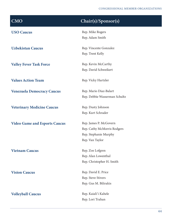| <b>CMO</b>                           | Chair(s)/Sponsor(s)           |
|--------------------------------------|-------------------------------|
| <b>USO Caucus</b>                    | Rep. Mike Rogers              |
|                                      | Rep. Adam Smith               |
| <b>Uzbekistan Caucus</b>             | Rep. Vincente Gonzalez        |
|                                      | Rep. Trent Kelly              |
| <b>Valley Fever Task Force</b>       | Rep. Kevin McCarthy           |
|                                      | Rep. David Schweikert         |
| <b>Values Action Team</b>            | Rep. Vicky Hartzler           |
| <b>Venezuela Democracy Caucus</b>    | Rep. Mario Diaz-Balart        |
|                                      | Rep. Debbie Wasserman Schultz |
| <b>Veterinary Medicine Caucus</b>    | Rep. Dusty Johnson            |
|                                      | Rep. Kurt Schrader            |
| <b>Video Game and Esports Caucus</b> | Rep. James P. McGovern        |
|                                      | Rep. Cathy McMorris Rodgers   |
|                                      | Rep. Stephanie Murphy         |
|                                      | Rep. Van Taylor               |
| <b>Vietnam Caucus</b>                | Rep. Zoe Lofgren              |
|                                      | Rep. Alan Lowenthal           |
|                                      | Rep. Christopher H. Smith     |
| <b>Vision Caucus</b>                 | Rep. David E. Price           |
|                                      | Rep. Steve Stivers            |
|                                      | Rep. Gus M. Bilirakis         |
| <b>Volleyball Caucus</b>             | Rep. Kaiali'i Kahele          |
|                                      | Rep. Lori Trahan              |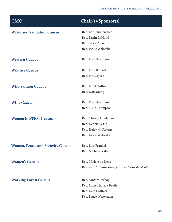| <b>Water and Sanitation Caucus</b>       | Rep. Earl Blumenauer                           |
|------------------------------------------|------------------------------------------------|
|                                          | Rep. Darin LaHood                              |
|                                          | Rep. Grace Meng                                |
|                                          | Rep. Jackie Walorski                           |
| <b>Western Caucus</b>                    | Rep. Dan Newhouse                              |
| <b>Wildfire Caucus</b>                   | Rep. John R. Curtis                            |
|                                          | Rep. Joe Neguse                                |
| <b>Wild Salmon Caucus</b>                | Rep. Jared Huffman                             |
|                                          | Rep. Don Young                                 |
| <b>Wine Caucus</b>                       | Rep. Dan Newhouse                              |
|                                          | Rep. Mike Thompson                             |
| <b>Women in STEM Caucus</b>              | Rep. Chrissy Houlahan                          |
|                                          | Rep. Debbie Lesko                              |
|                                          | Rep. Haley M. Stevens                          |
|                                          | Rep. Jackie Walorski                           |
| <b>Women, Peace, and Security Caucus</b> | Rep. Lois Frankel                              |
|                                          | Rep. Michael Waltz                             |
| <b>Women's Caucus</b>                    | Rep. Madeleine Dean                            |
|                                          | Resident Commissioner Jenniffer González-Colón |
| <b>Working Forest Caucus</b>             | Rep. Sanford Bishop                            |
|                                          | Rep. Jaime Herrera Beutler                     |
|                                          | Rep. Derek Kilmer                              |
|                                          | Rep. Bruce Westerman                           |